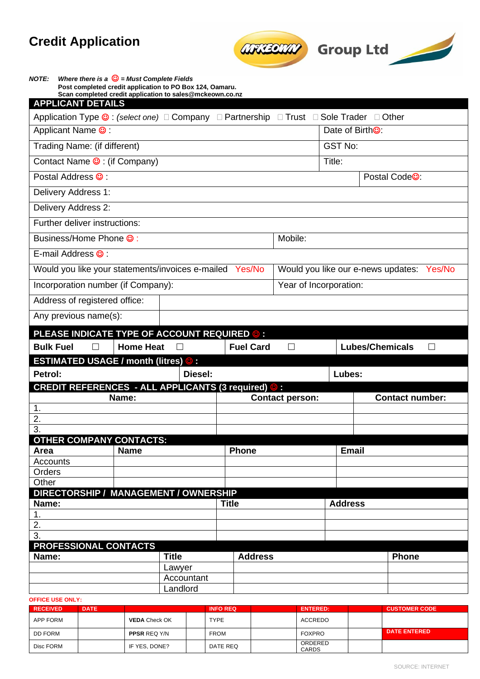# **Credit Application**





| <b>NOTE:</b>                                |        | Where there is a $\mathbb{G}$ = Must Complete Fields | Post completed credit application to PO Box 124, Oamaru.                                |                  |                        |                |                                           |  |
|---------------------------------------------|--------|------------------------------------------------------|-----------------------------------------------------------------------------------------|------------------|------------------------|----------------|-------------------------------------------|--|
| <b>APPLICANT DETAILS</b>                    |        |                                                      | Scan completed credit application to sales@mckeown.co.nz                                |                  |                        |                |                                           |  |
|                                             |        |                                                      | Application Type © : (select one) □ Company □ Partnership □ Trust □ Sole Trader □ Other |                  |                        |                |                                           |  |
| Applicant Name <sup>©</sup>                 |        |                                                      |                                                                                         |                  |                        |                | Date of Birth <sup>®</sup> :              |  |
| Trading Name: (if different)                |        |                                                      |                                                                                         |                  | <b>GST No:</b>         |                |                                           |  |
| Contact Name $\odot$ : (if Company)         |        |                                                      |                                                                                         |                  | Title:                 |                |                                           |  |
| Postal Address <sup>®</sup> :               |        |                                                      |                                                                                         |                  |                        |                | Postal Code <sup>®</sup> :                |  |
| Delivery Address 1:                         |        |                                                      |                                                                                         |                  |                        |                |                                           |  |
| Delivery Address 2:                         |        |                                                      |                                                                                         |                  |                        |                |                                           |  |
| Further deliver instructions:               |        |                                                      |                                                                                         |                  |                        |                |                                           |  |
| Business/Home Phone <sup>©</sup> :          |        |                                                      |                                                                                         |                  | Mobile:                |                |                                           |  |
| E-mail Address <sup>®</sup> :               |        |                                                      |                                                                                         |                  |                        |                |                                           |  |
|                                             |        |                                                      | Would you like your statements/invoices e-mailed Yes/No                                 |                  |                        |                | Would you like our e-news updates: Yes/No |  |
| Incorporation number (if Company):          |        |                                                      |                                                                                         |                  | Year of Incorporation: |                |                                           |  |
| Address of registered office:               |        |                                                      |                                                                                         |                  |                        |                |                                           |  |
| Any previous name(s):                       |        |                                                      |                                                                                         |                  |                        |                |                                           |  |
|                                             |        |                                                      |                                                                                         |                  |                        |                |                                           |  |
| <b>Bulk Fuel</b>                            |        |                                                      | PLEASE INDICATE TYPE OF ACCOUNT REQUIRED © :                                            | <b>Fuel Card</b> |                        |                | <b>Lubes/Chemicals</b>                    |  |
| <b>ESTIMATED USAGE / month (litres) © :</b> | $\Box$ | <b>Home Heat</b>                                     |                                                                                         |                  | П                      |                |                                           |  |
| Petrol:                                     |        |                                                      | Diesel:                                                                                 |                  |                        | Lubes:         |                                           |  |
|                                             |        |                                                      | CREDIT REFERENCES - ALL APPLICANTS (3 required) © :                                     |                  |                        |                |                                           |  |
|                                             |        | Name:                                                |                                                                                         |                  | <b>Contact person:</b> |                | <b>Contact number:</b>                    |  |
| 1.<br>2.                                    |        |                                                      |                                                                                         |                  |                        |                |                                           |  |
| $\overline{3}$ .                            |        |                                                      |                                                                                         |                  |                        |                |                                           |  |
| <b>OTHER COMPANY CONTACTS:</b>              |        |                                                      |                                                                                         |                  |                        |                |                                           |  |
| Area<br><b>Accounts</b>                     |        | <b>Name</b>                                          |                                                                                         | <b>Phone</b>     |                        | <b>Email</b>   |                                           |  |
| Orders                                      |        |                                                      |                                                                                         |                  |                        |                |                                           |  |
| Other                                       |        |                                                      |                                                                                         |                  |                        |                |                                           |  |
|                                             |        |                                                      | DIRECTORSHIP / MANAGEMENT / OWNERSHIP                                                   |                  |                        |                |                                           |  |
| Name:                                       |        |                                                      |                                                                                         | <b>Title</b>     |                        | <b>Address</b> |                                           |  |
| $\mathbf 1$ .                               |        |                                                      |                                                                                         |                  |                        |                |                                           |  |
| 2.                                          |        |                                                      |                                                                                         |                  |                        |                |                                           |  |
| 3.                                          |        |                                                      |                                                                                         |                  |                        |                |                                           |  |
| PROFESSIONAL CONTACTS<br>Name:              |        |                                                      | <b>Title</b>                                                                            | <b>Address</b>   |                        |                | <b>Phone</b>                              |  |
|                                             |        |                                                      | Lawyer                                                                                  |                  |                        |                |                                           |  |
|                                             |        |                                                      | Accountant                                                                              |                  |                        |                |                                           |  |
|                                             |        |                                                      | Landlord                                                                                |                  |                        |                |                                           |  |
|                                             |        |                                                      |                                                                                         |                  |                        |                |                                           |  |

### **OFFICE USE ONLY:**

| <b>RECEIVED</b> | <b>DATE</b> |                      | <b>INFO REQ</b> | <b>ENTERED:</b>         | <b>CUSTOMER CODE</b> |
|-----------------|-------------|----------------------|-----------------|-------------------------|----------------------|
| APP FORM        |             | <b>VEDA</b> Check OK | TYPE            | ACCREDO                 |                      |
| DD FORM         |             | <b>PPSR REQ Y/N</b>  | <b>FROM</b>     | <b>FOXPRO</b>           | <b>DATE ENTERED</b>  |
| Disc FORM       |             | IF YES, DONE?        | DATE REQ        | ORDERED<br><b>CARDS</b> |                      |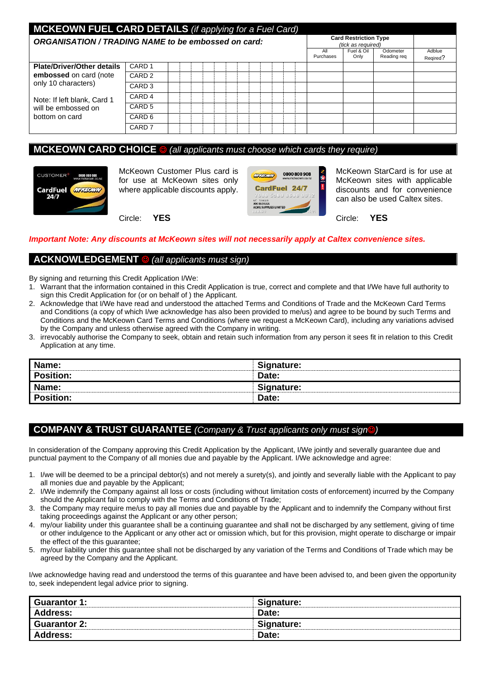| <b>MCKEOWN FUEL CARD DETAILS</b> (if applying for a Fuel Card)<br><b>Card Restriction Type</b> |                   |  |  |  |  |                    |  |  |  |  |                  |                    |                         |                    |
|------------------------------------------------------------------------------------------------|-------------------|--|--|--|--|--------------------|--|--|--|--|------------------|--------------------|-------------------------|--------------------|
| ORGANISATION / TRADING NAME to be embossed on card:                                            |                   |  |  |  |  | (tick as required) |  |  |  |  |                  |                    |                         |                    |
|                                                                                                |                   |  |  |  |  |                    |  |  |  |  | All<br>Purchases | Fuel & Oil<br>Only | Odometer<br>Reading reg | Adblue<br>Regired? |
| <b>Plate/Driver/Other details</b>                                                              | CARD <sub>1</sub> |  |  |  |  |                    |  |  |  |  |                  |                    |                         |                    |
| embossed on card (note                                                                         | CARD <sub>2</sub> |  |  |  |  |                    |  |  |  |  |                  |                    |                         |                    |
| only 10 characters)                                                                            | CARD <sub>3</sub> |  |  |  |  |                    |  |  |  |  |                  |                    |                         |                    |
| Note: If left blank, Card 1<br>will be embossed on<br>bottom on card                           | CARD <sub>4</sub> |  |  |  |  |                    |  |  |  |  |                  |                    |                         |                    |
|                                                                                                | CARD <sub>5</sub> |  |  |  |  |                    |  |  |  |  |                  |                    |                         |                    |
|                                                                                                | CARD <sub>6</sub> |  |  |  |  |                    |  |  |  |  |                  |                    |                         |                    |
|                                                                                                | CARD <sub>7</sub> |  |  |  |  |                    |  |  |  |  |                  |                    |                         |                    |

# **MCKEOWN CARD CHOICE** ☺ *(all applicants must choose which cards they require)*



McKeown Customer Plus card is for use at McKeown sites only where applicable discounts apply.



McKeown StarCard is for use at McKeown sites with applicable discounts and for convenience can also be used Caltex sites.

Circle: **YES**

Circle: **YES**

### *Important Note: Any discounts at McKeown sites will not necessarily apply at Caltex convenience sites.*

# **ACKNOWLEDGEMENT** ☺ *(all applicants must sign)*

By signing and returning this Credit Application I/We:

- 1. Warrant that the information contained in this Credit Application is true, correct and complete and that I/We have full authority to sign this Credit Application for (or on behalf of ) the Applicant.
- 2. Acknowledge that I/We have read and understood the attached Terms and Conditions of Trade and the McKeown Card Terms and Conditions (a copy of which I/we acknowledge has also been provided to me/us) and agree to be bound by such Terms and Conditions and the McKeown Card Terms and Conditions (where we request a McKeown Card), including any variations advised by the Company and unless otherwise agreed with the Company in writing.
- 3. irrevocably authorise the Company to seek, obtain and retain such information from any person it sees fit in relation to this Credit Application at any time.

| Name:            | Signature: |
|------------------|------------|
| <b>Position:</b> | Date:      |
| Name:            | Signature: |
| <b>Position:</b> | Date:      |

# **COMPANY & TRUST GUARANTEE** *(Company & Trust applicants only must sign*☺*)*

In consideration of the Company approving this Credit Application by the Applicant, I/We jointly and severally guarantee due and punctual payment to the Company of all monies due and payable by the Applicant. I/We acknowledge and agree:

- 1. I/we will be deemed to be a principal debtor(s) and not merely a surety(s), and jointly and severally liable with the Applicant to pay all monies due and payable by the Applicant;
- 2. I/We indemnify the Company against all loss or costs (including without limitation costs of enforcement) incurred by the Company should the Applicant fail to comply with the Terms and Conditions of Trade;
- 3. the Company may require me/us to pay all monies due and payable by the Applicant and to indemnify the Company without first taking proceedings against the Applicant or any other person;
- 4. my/our liability under this guarantee shall be a continuing guarantee and shall not be discharged by any settlement, giving of time or other indulgence to the Applicant or any other act or omission which, but for this provision, might operate to discharge or impair the effect of the this guarantee;
- 5. my/our liability under this guarantee shall not be discharged by any variation of the Terms and Conditions of Trade which may be agreed by the Company and the Applicant.

I/we acknowledge having read and understood the terms of this guarantee and have been advised to, and been given the opportunity to, seek independent legal advice prior to signing.

| Guarantor 1:        | Signature: |
|---------------------|------------|
| Address:            | Date:      |
| <b>Guarantor 2:</b> | Signature: |
| <b>Address:</b>     | Date:      |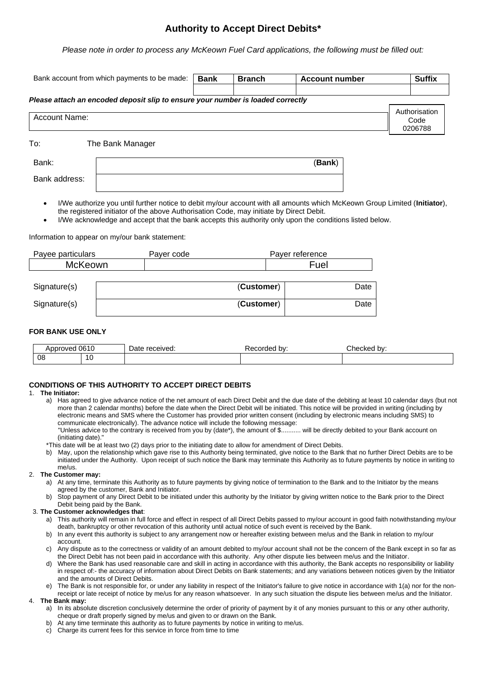# **Authority to Accept Direct Debits\***

*Please note in order to process any McKeown Fuel Card applications, the following must be filled out:*

| Bank account from which payments to be made:                                         | <b>Bank</b>                                                                             | <b>Branch</b> | <b>Account number</b> |                                                                                                                           | <b>Suffix</b> |                                  |
|--------------------------------------------------------------------------------------|-----------------------------------------------------------------------------------------|---------------|-----------------------|---------------------------------------------------------------------------------------------------------------------------|---------------|----------------------------------|
| Please attach an encoded deposit slip to ensure your number is loaded correctly      |                                                                                         |               |                       |                                                                                                                           |               |                                  |
| <b>Account Name:</b>                                                                 |                                                                                         |               |                       |                                                                                                                           |               | Authorisation<br>Code<br>0206788 |
| To:                                                                                  | The Bank Manager                                                                        |               |                       |                                                                                                                           |               |                                  |
| Bank:                                                                                |                                                                                         |               |                       | (Bank)                                                                                                                    |               |                                  |
|                                                                                      |                                                                                         |               |                       |                                                                                                                           |               |                                  |
| Bank address:<br>$\bullet$                                                           |                                                                                         |               |                       | I/We authorize you until further notice to debit my/our account with all amounts which McKeown Group Limited (Initiator), |               |                                  |
| $\bullet$                                                                            | the registered initiator of the above Authorisation Code, may initiate by Direct Debit. |               |                       | I/We acknowledge and accept that the bank accepts this authority only upon the conditions listed below.                   |               |                                  |
|                                                                                      |                                                                                         |               |                       |                                                                                                                           |               |                                  |
| <b>McKeown</b>                                                                       | Payer code                                                                              |               |                       | Payer reference<br>Fuel                                                                                                   |               |                                  |
| Information to appear on my/our bank statement:<br>Payee particulars<br>Signature(s) |                                                                                         |               | (Customer)            |                                                                                                                           | Date          |                                  |

# **FOR BANK USE ONLY**

| . $0.015$<br><b>MOVAC</b><br><b>NDDI</b><br>UD I L |    | Date<br>received. | corded :<br>bv: | Checked by: |
|----------------------------------------------------|----|-------------------|-----------------|-------------|
| 08                                                 | 10 |                   |                 |             |

## **CONDITIONS OF THIS AUTHORITY TO ACCEPT DIRECT DEBITS**

### 1. **The Initiator:**

a) Has agreed to give advance notice of the net amount of each Direct Debit and the due date of the debiting at least 10 calendar days (but not more than 2 calendar months) before the date when the Direct Debit will be initiated. This notice will be provided in writing (including by electronic means and SMS where the Customer has provided prior written consent (including by electronic means including SMS) to communicate electronically). The advance notice will include the following message:

"Unless advice to the contrary is received from you by (date\*), the amount of \$........... will be directly debited to your Bank account on (initiating date)."

- \*This date will be at least two (2) days prior to the initiating date to allow for amendment of Direct Debits.
- b) May, upon the relationship which gave rise to this Authority being terminated, give notice to the Bank that no further Direct Debits are to be initiated under the Authority. Upon receipt of such notice the Bank may terminate this Authority as to future payments by notice in writing to me/us.

### 2. **The Customer may:**

- a) At any time, terminate this Authority as to future payments by giving notice of termination to the Bank and to the Initiator by the means agreed by the customer, Bank and Initiator.
- b) Stop payment of any Direct Debit to be initiated under this authority by the Initiator by giving written notice to the Bank prior to the Direct Debit being paid by the Bank.

### 3. **The Customer acknowledges that**:

- a) This authority will remain in full force and effect in respect of all Direct Debits passed to my/our account in good faith notwithstanding my/our death, bankruptcy or other revocation of this authority until actual notice of such event is received by the Bank.
- b) In any event this authority is subject to any arrangement now or hereafter existing between me/us and the Bank in relation to my/our account.
- c) Any dispute as to the correctness or validity of an amount debited to my/our account shall not be the concern of the Bank except in so far as the Direct Debit has not been paid in accordance with this authority. Any other dispute lies between me/us and the Initiator.
- d) Where the Bank has used reasonable care and skill in acting in accordance with this authority, the Bank accepts no responsibility or liability in respect of:- the accuracy of information about Direct Debits on Bank statements; and any variations between notices given by the Initiator and the amounts of Direct Debits.
- e) The Bank is not responsible for, or under any liability in respect of the Initiator's failure to give notice in accordance with 1(a) nor for the nonreceipt or late receipt of notice by me/us for any reason whatsoever. In any such situation the dispute lies between me/us and the Initiator.

### 4. **The Bank may:**

- a) In its absolute discretion conclusively determine the order of priority of payment by it of any monies pursuant to this or any other authority, cheque or draft properly signed by me/us and given to or drawn on the Bank.
- b) At any time terminate this authority as to future payments by notice in writing to me/us.
- c) Charge its current fees for this service in force from time to time